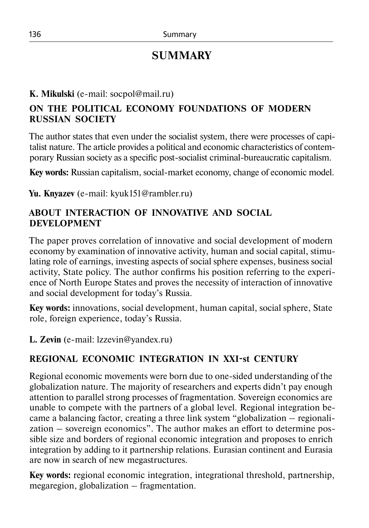# **SUMMARY**

# **K. Mikulski** (e-mail: socpol@mail.ru)

# **ON THE POLITICAL ECONOMY FOUNDATIONS OF MODERN RUSSIAN SOCIETY**

The author states that even under the socialist system, there were processes of capitalist nature. The article provides a political and economic characteristics of contemporary Russian society as a specific post-socialist criminal-bureaucratic capitalism.

**Key words:** Russian capitalism, social-market economy, change of economic model.

**Yu. Knyazev** (e-mail: kyuk151@rambler.ru)

#### **ABOUT INTERACTION OF INNOVATIVE AND SOCIAL DEVELOPMENT**

The paper proves correlation of innovative and social development of modern economy by examination of innovative activity, human and social capital, stimulating role of earnings, investing aspects of social sphere expenses, business social activity, State policy. The author confirms his position referring to the experience of North Europe States and proves the necessity of interaction of innovative and social development for today's Russia.

**Key words:** innovations, social development, human capital, social sphere, State role, foreign experience, today's Russia.

**L. Zevin** (e-mail: lzzevin@yandex.ru)

# **REGIONAL ECONOMIC INTEGRATION IN XXI-st CENTURY**

Regional economic movements were born due to one-sided understanding of the globalization nature. The majority of researchers and experts didn't pay enough attention to parallel strong processes of fragmentation. Sovereign economics are unable to compete with the partners of a global level. Regional integration became a balancing factor, creating a three link system "globalization – regionalization – sovereign economics". The author makes an effort to determine possible size and borders of regional economic integration and proposes to enrich integration by adding to it partnership relations. Eurasian continent and Eurasia are now in search of new megastructures.

**Key words:** regional economic integration, integrational threshold, partnership, megaregion, globalization – fragmentation.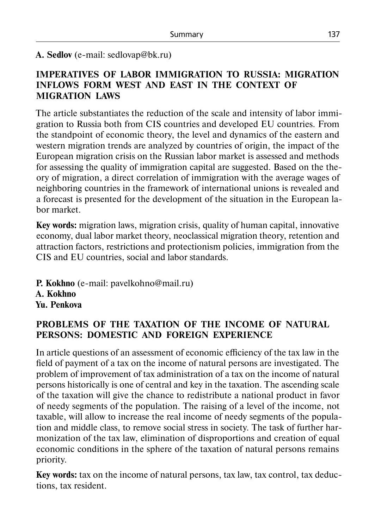#### **А. Sedlov** (e-mail: sedlovap@bk.ru)

#### **IMPERATIVES OF LABOR IMMIGRATION TO RUSSIA: MIGRATION INFLOWS FORM WEST AND EAST IN THE CONTEXT OF MIGRATION LAWS**

The article substantiates the reduction of the scale and intensity of labor immigration to Russia both from CIS countries and developed EU countries. From the standpoint of economic theory, the level and dynamics of the eastern and western migration trends are analyzed by countries of origin, the impact of the European migration crisis on the Russian labor market is assessed and methods for assessing the quality of immigration capital are suggested. Based on the theory of migration, a direct correlation of immigration with the average wages of neighboring countries in the framework of international unions is revealed and a forecast is presented for the development of the situation in the European labor market.

**Key words:** migration laws, migration crisis, quality of human capital, innovative economy, dual labor market theory, neoclassical migration theory, retention and attraction factors, restrictions and protectionism policies, immigration from the CIS and EU countries, social and labor standards.

**P. Kokhno** (e-mail: pavelkohno@mail.ru) **A. Kokhno Yu. Penkova**

# **PROBLEMS OF THE TAXATION OF THE INCOME OF NATURAL PERSONS: DOMESTIC AND FOREIGN EXPERIENCE**

In article questions of an assessment of economic efficiency of the tax law in the field of payment of a tax on the income of natural persons are investigated. The problem of improvement of tax administration of a tax on the income of natural persons historically is one of central and key in the taxation. The ascending scale of the taxation will give the chance to redistribute a national product in favor of needy segments of the population. The raising of a level of the income, not taxable, will allow to increase the real income of needy segments of the population and middle class, to remove social stress in society. The task of further harmonization of the tax law, elimination of disproportions and creation of equal economic conditions in the sphere of the taxation of natural persons remains priority.

**Key words:** tax on the income of natural persons, tax law, tax control, tax deductions, tax resident.